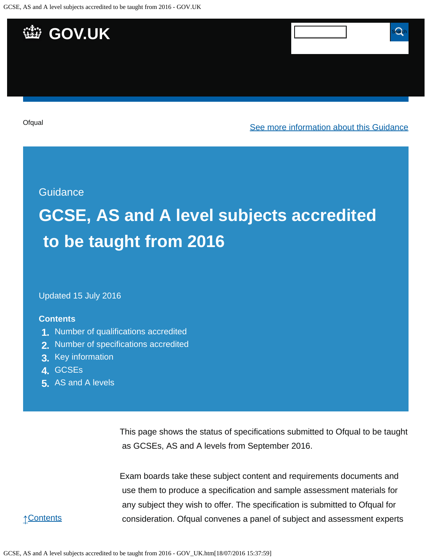

## **Guidance**

# **GCSE, AS and A level subjects accredited to be taught from 2016**

Updated 15 July 2016

### **Contents**

- **1.** [Number of qualifications accredited](https://www.gov.uk/government/publications/accreditation-of-gcses-as-a-levels-for-teaching-from-2016/gcse-as-and-a-level-subjects-accredited-to-be-taught-from-2016#number-of-qualifications-accredited)
- **2.** [Number of specifications accredited](https://www.gov.uk/government/publications/accreditation-of-gcses-as-a-levels-for-teaching-from-2016/gcse-as-and-a-level-subjects-accredited-to-be-taught-from-2016#number-of-specifications-accredited)
- **3.** [Key information](https://www.gov.uk/government/publications/accreditation-of-gcses-as-a-levels-for-teaching-from-2016/gcse-as-and-a-level-subjects-accredited-to-be-taught-from-2016#key-information)
- **4.** [GCSEs](https://www.gov.uk/government/publications/accreditation-of-gcses-as-a-levels-for-teaching-from-2016/gcse-as-and-a-level-subjects-accredited-to-be-taught-from-2016#gcses)
- **5.** [AS and A levels](https://www.gov.uk/government/publications/accreditation-of-gcses-as-a-levels-for-teaching-from-2016/gcse-as-and-a-level-subjects-accredited-to-be-taught-from-2016#as-and-a-levels)

This page shows the status of specifications submitted to Ofqual to be taught as GCSEs, AS and A levels from September 2016.

Exam boards take these subject content and requirements documents and use them to produce a specification and sample assessment materials for any subject they wish to offer. The specification is submitted to Ofqual for consideration. Ofqual convenes a panel of subject and assessment experts

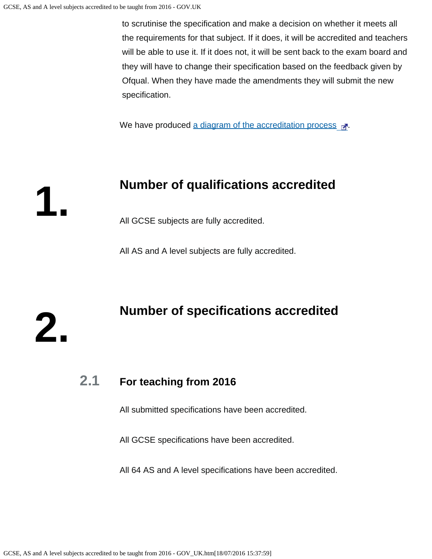**1.**

**2.**

 to scrutinise the specification and make a decision on whether it meets all the requirements for that subject. If it does, it will be accredited and teachers will be able to use it. If it does not, it will be sent back to the exam board and they will have to change their specification based on the feedback given by Ofqual. When they have made the amendments they will submit the new specification.

We have produced [a diagram of the accreditation process](https://s-media-cache-ak0.pinimg.com/originals/ce/98/b8/ce98b80566a5db550a3c26889667b9f8.png)  $\mathbb{R}^n$ .

# **Number of qualifications accredited**

All GCSE subjects are fully accredited.

All AS and A level subjects are fully accredited.

# **Number of specifications accredited**

## **2.1 For teaching from 2016**

All submitted specifications have been accredited.

All GCSE specifications have been accredited.

All 64 AS and A level specifications have been accredited.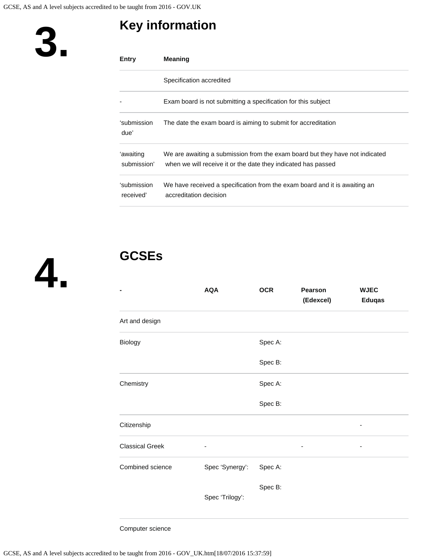# **Key information**



**4.**

**3.**

# **GCSEs**

| -                      | <b>AQA</b>      | <b>OCR</b> | Pearson<br>(Edexcel) | <b>WJEC</b><br><b>Eduqas</b> |
|------------------------|-----------------|------------|----------------------|------------------------------|
| Art and design         |                 |            |                      |                              |
| Biology                |                 | Spec A:    |                      |                              |
|                        |                 | Spec B:    |                      |                              |
| Chemistry              |                 | Spec A:    |                      |                              |
|                        |                 | Spec B:    |                      |                              |
| Citizenship            |                 |            |                      |                              |
| <b>Classical Greek</b> | ٠               |            | ٠                    | ٠                            |
| Combined science       | Spec 'Synergy': | Spec A:    |                      |                              |
|                        | Spec 'Trilogy': | Spec B:    |                      |                              |

Computer science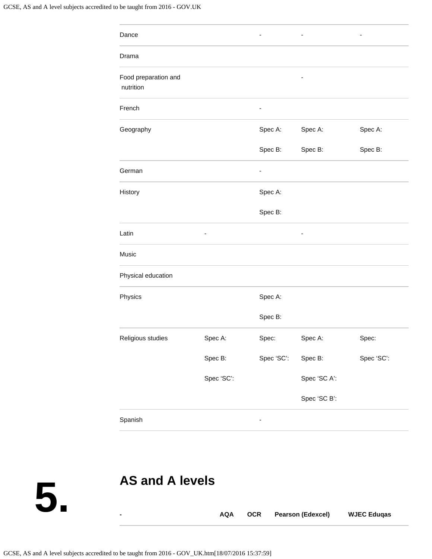| Dance                             |                          |                          | -            | ۰          |
|-----------------------------------|--------------------------|--------------------------|--------------|------------|
| Drama                             |                          |                          |              |            |
| Food preparation and<br>nutrition |                          |                          |              |            |
| French                            |                          | $\overline{\phantom{0}}$ |              |            |
| Geography                         |                          | Spec A:                  | Spec A:      | Spec A:    |
|                                   |                          | Spec B:                  | Spec B:      | Spec B:    |
| German                            |                          | ۰                        |              |            |
| History                           |                          | Spec A:                  |              |            |
|                                   |                          | Spec B:                  |              |            |
| Latin                             | $\overline{\phantom{a}}$ |                          |              |            |
| Music                             |                          |                          |              |            |
| Physical education                |                          |                          |              |            |
| Physics                           |                          | Spec A:                  |              |            |
|                                   |                          | Spec B:                  |              |            |
| Religious studies                 | Spec A:                  | Spec:                    | Spec A:      | Spec:      |
|                                   | Spec B:                  | Spec 'SC':               | Spec B:      | Spec 'SC': |
|                                   | Spec 'SC':               |                          | Spec 'SC A': |            |
|                                   |                          |                          | Spec 'SC B': |            |
| Spanish                           |                          |                          |              |            |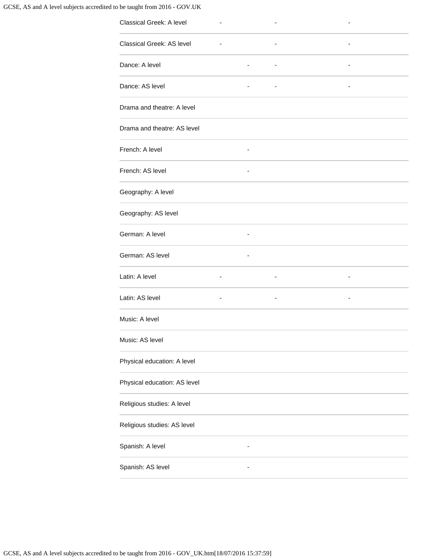### GCSE, AS and A level subjects accredited to be taught from 2016 - GOV.UK

| $\overline{\phantom{a}}$ |  |
|--------------------------|--|
| -                        |  |
|                          |  |
|                          |  |
|                          |  |
|                          |  |
|                          |  |
|                          |  |
|                          |  |
|                          |  |
|                          |  |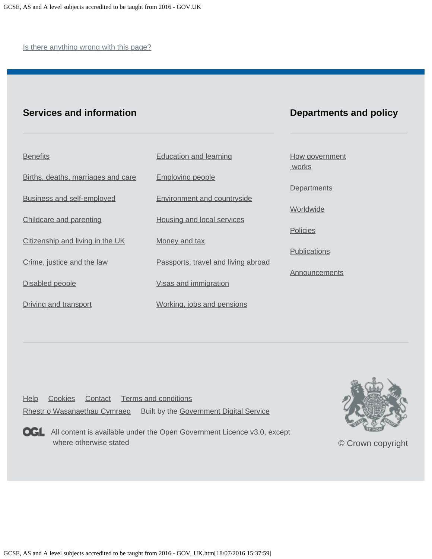Is there anything wrong with this page?

## **Services and information**

## **Departments and policy**

| <b>Benefits</b>                    | <b>Education and learning</b>       | How government<br>works |
|------------------------------------|-------------------------------------|-------------------------|
| Births, deaths, marriages and care | <b>Employing people</b>             |                         |
| <b>Business and self-employed</b>  | <b>Environment and countryside</b>  | Departments             |
| Childcare and parenting            | Housing and local services          | Worldwide               |
|                                    |                                     | <b>Policies</b>         |
| Citizenship and living in the UK   | Money and tax                       | <b>Publications</b>     |
| Crime, justice and the law         | Passports, travel and living abroad | Announcements           |
| Disabled people                    | Visas and immigration               |                         |
| Driving and transport              | Working, jobs and pensions          |                         |

[Help](https://www.gov.uk/help) [Cookies](https://www.gov.uk/help/cookies) [Contact](https://www.gov.uk/contact) [Terms and conditions](https://www.gov.uk/help/terms-conditions) [Rhestr o Wasanaethau Cymraeg](https://www.gov.uk/cymraeg) Built by the [Government Digital Service](https://www.gov.uk/government/organisations/government-digital-service)



**OGL** All content is available under the [Open Government Licence v3.0](https://www.nationalarchives.gov.uk/doc/open-government-licence/version/3/), except where otherwise stated



[© Crown copyright](http://www.nationalarchives.gov.uk/information-management/re-using-public-sector-information/copyright-and-re-use/crown-copyright/)